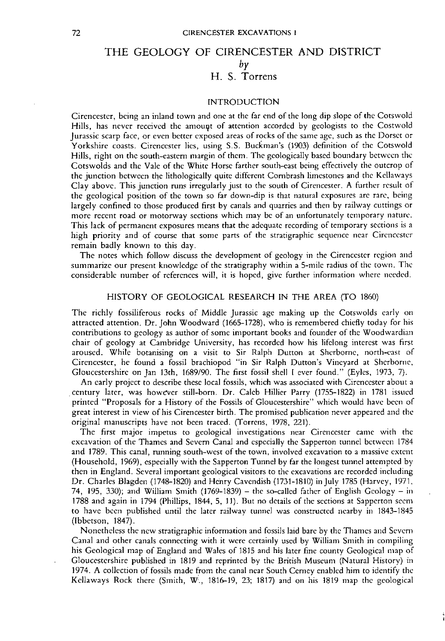# THE GEOLOGY OF CIRENCESTER AND DISTRICT *by*

# H. S. Torrens

# INTRODUCTION

Cirenccstcr, being an inland town and one at the far end of the long dip slope of the Cotswold Hills, has never received the amouqt of attention accorded by geologists to the Costwold Jurassic scarp face, or even better exposed areas of rocks of the same age, such as the Dorset or Yorkshire coasts. Cirencester lies, using S.S. Buckman's (1903) definition of the Cotswold Hills, right on the south-eastern margin of them. The geologically based boundary between the Cotswolds and the Vale of the White Horse farther south-east being effectively the outcrop of the junction between the lithologically quite different Combrash limestones and the Kellaways Clay above. This junction runs irregularly just to the south of Cirencester. A further result of the geological position of the town so far down-dip is that natural exposures are rare, being largely confined to those produced first by canals and quarries and then by railway cuttings or more recent road or motorway sections which may be of an unfortunately temporary nature. This lack of permanent exposures means that the adequate recording of temporary sections is a high priority and of course that some parts of the stratigraphic sequence near Circncester remain badly known to this day.

The notes which follow discuss the development of geology in the Circncester region and summarize our present knowledge of the stratigraphy within a 5-mile radius of the town. The considerable number of references will, it is hoped, give further information where needed.

### HISTORY OF GEOLOGICAL RESEARCH IN THE AREA (TO 1860)

The richly fossiliferous rocks of Middle Jurassic age making up the Cotswolds early on attracted attention. Dr. John Woodward (1665-1728), who is remembered chiefly today for his contributions to geology as author of some important books and founder of the Woodwardian chair of geology at Cambridge University, has recorded how his lifelong interest was first aroused. While botanising on a visit to Sir Ralph Dutton at Sherborne, north-cast of Cirencester, he found a fossil brachiopod "in Sir Ralph Dutton's Vineyard at Sherborne, Gloucestershire on Jan 13th, 1689/90. The first fossil shell I ever found." (Eyles, 1973, 7).

An early project to describe these local fossils, which was associated with Cirencester about a . century later, was however still-born. Dr. Caleb Hillier Parry (1755-1822) in 1781 issued printed "Proposals for a History of the Fossils of Gloucestershire" which would have been of great interest in view of his Cirencester birth. The promised publication never appeared and the original manuscripts have not been traced. (Torrens, 1978, 221).

The first major impetus to geological investigations near Cirencester came with the excavation of the Thames and Severn Canal and especially the Sapperton tunnel between 1784 and 1789. This canal, running south-west of the town, involved excavation to a massive extent (Household, 1969), especially with the Sapperton Tunnel by far the longest tunnel attempted by then in England. Several important geological visitors to the excavations arc recorded including Dr. Charles Blagden (1748-1820) and Henry Cavendish (1731-1810) in July 1785 (Harvey, 1971. 74, 195, 330); and William Smith (1769-1839) - the so-called father of English Geology - in 1788 and again in 1794 (Phillips, 1844, 5, 11). But no details of the sections at Sapperton seem to have been published until the later railway tunnel was constructed nearby in 1843-1845 (Ibbctson, 1847).

Nonetheless the new stratigraphic information and fossils laid bare by the Thames and Severn Canal and other canals connecting with it were certainly used by William Smith in compiling his Geological map of England and Wales of 1815 and his later fine county Geological map of Glouccstcrshire published in 1819 and reprinted by the British Museum (Natural History) in 1974. A collection of fossils made from the canal ncar South Cerney enabled him to identify the Kellaways Rock there (Smith, W:., 1816-19, 23; 1817) and on his 1819 map the geological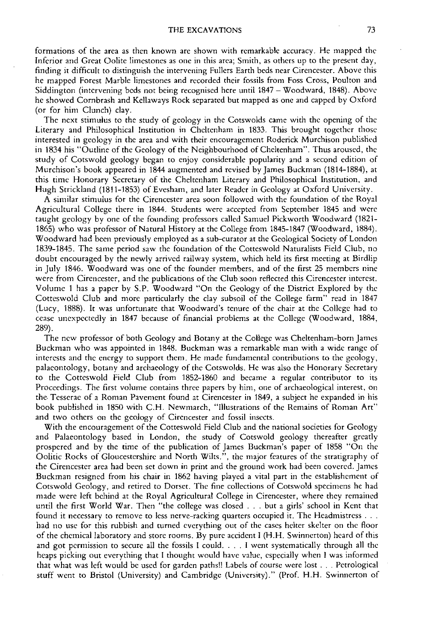formations of the area as then known are shown with remarkable accuracy. He mapped the Inferior and Great Oolite limestones as one in this area; Smith, as others up to the present day, finding it difficult to distinguish the intervening Fullers Earth beds near Cirencester. Above this he mapped Forest Marble limestones and recorded their fossils from Foss Cross, Poulton and Siddington (intervening beds not being recognised here until 1847 - Woodward, 1848). Above he showed Cornbrash and Kellaways Rock separated but mapped as one and capped by Oxford (or for him Clunch) clay.

The next stimulus to the study of geology in the Cotswolds came with the opening of the Literary and Philosophical Institution in Cheltenham in 1833. This brought together those interested in geology in the area and with their encouragement Roderick Murchison published in 1834 his "Outline of the Geology of the Neighbourhood of Cheltenham". Thus aroused, the study of Cotswold geology began to enjoy considerable popularity and a second edition of Murchison's book appeared in 1844 augmented and revised by James Buckman (1814-1884), at this time Honorary Secretary of the Cheltenham Literary and Philosophical Institution, and Hugh Strickland (1811-1853) of Evesham, and later Reader in Geology at Oxford University.

A similar stimulus for the Cirencester area soon followed with the foundation of the Royal Agricultural College there in 1844. Students were accepted from September 1845 and were taught geology by one of the founding professors called Samuel Pickworth Woodward (1821- 1865) who was professor of Natural History at the College from 1845-1847 (Woodward, 1884). Woodward had been previously employed as a sub-curator at the Geological Society of London 1839-1845. The same period saw the foundation of the Cotteswold Naturalists Field Club, no doubt encouraged by the newly arrived railway system, which held its first meeting at Birdlip in July 1846. Woodward was one of the founder members, and of the first 25 members nine were from Cirencester, and the publications of the Club 'soon reflected this Cirencester interest. Volume 1 has a paper by S.P. Woodward "On the Geology of the District Explored by the Cotteswold Club and more particularly the clay subsoil of the College farm" read in 1847 (Lucy, 1888). It was unfortunate that Woodward's tenure of the chair at the College had to cease unexpectedly in 1847 because of financial problems at the College (Woodward, 1884, 289).

The new professor of both Geology and Botany at the College was Cheltenham-born James Buckman who was appointed in 1848. Buckman was a remarkable man with a wide range of interests and the energy to support them. He made fundamental contributions to the geology, palaeontology, botany and archaeology of the Cotswolds. He was also the Honorary Secretary to the Cotteswold Field Club from 1852-1860 and became a regular contributor to its Proceedings. The first volume contains three papers by him, one of archaeological interest, on the. Tesserae of a Roman Pavement found at Circncester in 1849, a subject he expanded in his book published in 1850 with C.H. Newmarch, "Illustrations of the Remains of Roman Art" and two others on the geology of Cirencester and fossil insects.

With the encouragement of the Cotteswold Field Club and the national societies for Geology and Palaeontology based in London, the study of Cotswold geology thereafter greatly prospered and by the time of the publication of James Buckman's paper of 1858 "On the Oolitic Rocks of Gloucestershire and North Wilts.", the major features of the stratigraphy of the Cirencester area had been set down in print and the ground work had been covered. James Buckman resigned from his chair in 1862 having played a vital part in the establishement of Cotswold Geology, and retired to Dorset. The fine collections of Cotswold specimens he had made were left behind at the Royal Agricultural College in Cirencester, where they remained until the first World War. Then "the college was closed ... but <sup>a</sup> girls' school in Kent that found it necessary to remove to less nerve-racking quarters occupied it. The Headmistress ... had no use for this rubbish and turned everything out of the cases helter skelter on the floor of the chemical laboratory and store rooms. By pure accident I (H.H. Swinnerton) heard of this and got permission to secure all the fossils I could.... <sup>I</sup> went systematically through all the heaps picking out everything that I thought would have value, especially when I was informed that what was left would be used for garden parhsll Labels of course were lost ... Petrological stuff went to Bristol (University) and Cambridge (University)." (Prof. H.H. Swinncrton of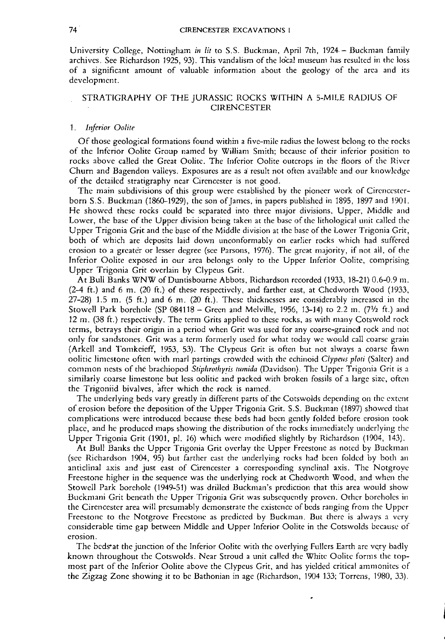University College, Nottingham *in lit* to 5.5. Buckman, April 7th, 1924 - Buckman family archives. See Richardson 1925,93). This vandalism of the local museum has resulted in the loss of a significant amount of valuable information about the geology of the area and its development.

# STRATIGRAPHY OF THE JURASSIC ROCKS WITHIN A 5-MILE RADIUS OF CIRENCESTER

## *1. Inferior Oolite*

Of those geological formations found within a five-mile radius the lowest belong to the rocks of the Inferior Oolite Group named by William Smith; because of their inferior position to rocks above called the Great Oolite. The Inferior Oolite outcrops in the floors of the River Churn and Bagendon valleys. Exposures are as a result not often available and our knowledge of the detailed stratigraphy near Circncester is not good.

The main subdivisions of this group were established by the pioneer work of Circncesterborn S.S. Buckman (1860-1929), the son of James, in papers published in 1895, 1897 and 1901. He showed these rocks could be separated into three major divisions, Upper, Middle and Lower, the base of the Upper division being taken at the base of the lithological unit called the Upper Trigonia Grit and the base ofthe Middle division at the base of the Lower Trigonia Grit, both of which are deposits laid down unconformably on earlier rocks which had suffered erosion to a greater or lesser degree (see Parsons, 1976). The great majority, if not all, of the Inferior Oolite exposed in our area belongs only to the Upper Inferior Oolite, comprising Upper Trigonia Grit overlain by Clypeus Grit.

At Bull Banks WNW of Duntisbourne Abbots, Richardson recorded (1933,18-21) 0.6-0.9 rn. (2-4 ft.) and 6 m. (20 ft.) of these respectively, and farther east, at Chcdworth Wood (1933, 27-28) 1.5 m. (5 ft.) and 6 m. (20 ft.). These thicknesses are considerably increased in the Stowell Park borehole (SP 084118 – Green and Melville, 1956, 13-14) to 2.2 m. (7 $\frac{1}{2}$  ft.) and 12 m. (38 fr.) respectively. The term Grits applied to these rocks, as with many Cotswold rock terms, betrays their origin in a period when Grit was used for any coarse-grained rock and not only for sandstones. Grit was a term formerly used for what today we would call coarse grain (Arkell and Tomkcieff, 1953, 53). The Clypcus Grit is often but not always a coarse fawn oolitic limestone often with marl partings crowded with the echinoid *Clypeus ploti* (Salter) and common nests of the brachiopod *Stiphrothyris tumida* (Davidson). The Upper Trigonia Grit is a similarly coarse limestone but less oolitic and packed with broken fossils of a large size, often the Trigoniid bivalves, after which the rock is named.

The underlying beds vary greatly in different parts of the Cotswolds depending on the extent of erosion before the deposition of the Upper Trigonia Grit. S.S. Buckman (1897) showed that complications were introduced because these beds had been gently folded before erosion took place, and he produced maps showing the distribution of the rocks immediately undcrlying the Upper Trigonia Grit (1901, *pl.* 16) which were modified slightly by Richardson (1904, 143).

At Bull Banks the Upper Trigonia Grit overlay the Upper Freestone as noted by Buckman (see Richardson 1904, 95) but farther east the underlying rocks had been folded by both an anticlinal axis and just east of Cirenccstcr a corresponding synclinal axis. The Norgroyc Freestone higher in the sequence was the underlying rock at Chcdworth Wood, and when the Stowell Park borehole (1949-51) was drilled Buckman's prediction that this area would show Buckmani Grit beneath the Upper Trigonia Grit was subsequently proven. Other boreholes in the Circncestcr area will presumably demonstrate the existence of beds ranging from the Upper Freestone to the Notgrove Freestone as predicted by Buckman. But there is always a very considerable time gap between Middle and Upper Inferior Oolite in the Cotswolds because of erosion.

The beds at the junction of the Inferior Oolite with the overlying Fullers Earth are very badly known throughout the Cotswolds. Near Stroud a unit called the White Oolite forms the topmost part of the Inferior Oolite above the Clypeus Grit, and has yielded critical ammonites of the Zigzag Zone showing it to be Bathonian in age (Richardson, 1904133; Torrens, 1980, 33).

.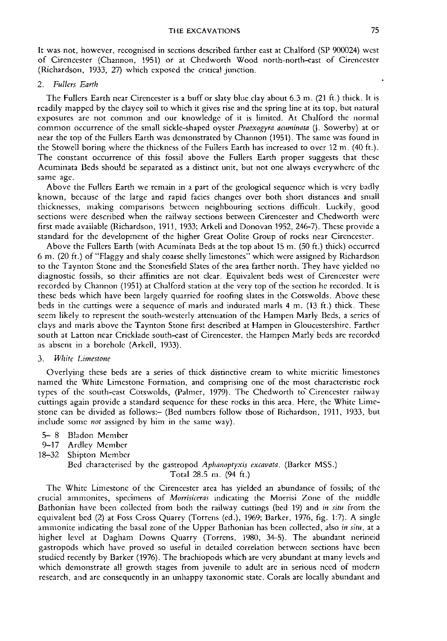It was not, however, recognised in sections deseribed farther east at Chalford (SP 900024) west of Circncester (Channen, 1951) or at Chedworth Wood north-north-east of Cirencester (Richardson, 1933, 27) which exposed the critical junction.

### *2. Fullers Earth*

The Fullers Earth near Cirencester is a buff or slaty blue clay about  $6.3$  m. (21 ft.) thick. It is readily mapped by the clayey soil to which it gives rise and the spring line at its top, but natural exposures are not common and our knowledge of it is limited. At Chalford the normal common occurrence of the small sickle-shaped oyster *Praexogyra acuminata* (J. Sowerby) at or near the top of the Fullers Earth was demonstrated by Channon (1951). The same was found in the Stowell boring where the thickness of the Fullers Earth has increased to over 12 m. (40 ft.). The constant occurrence of this fossil above the Fullers Earth proper suggests that these Acuminata Beds should be separated as a distinct unit, but not one always everywhere of the same age.

Above the Fullers Earth we remain in a part of the geological sequence which is very badly known, because of the large and rapid facies changes over both short distances and small thicknesses, making comparisons between neighbouring sections difficult. Luckily, good sections were described when the railway sections between Cirencester and Chcdworth were first made available (Richardson, 1911, 1933; Arkell and Donovan 1952, 246-7). These provide a standard for the development of the higher Great Oolite Group of rocks near Circnccster.

Above the Fullers Earth (with Acuminata Beds at the top about 15 m. (50 ft.) thick) occurred 6 m , (20 ft.) of "Flaggy and shaly coarse shelly limestones" which were assigned by Richardson to the Taynton Stone and the Stonesfield Slates of the area farther north. They have yielded no diagnostic fossils, so their affinities are not clear. Equivalent beds west of Cirencester were recorded by Channon (1951) at Chalford station at the very top of the section he recorded. It is these beds which have been largely quarried for roofing slates in the Cotswolds. Above these beds in the cuttings were a sequence of marls and indurated marls 4 m. (13 ft.) thick. These seem likely to represent the south-westerly attenuation of the Hampen Marly Beds, a series of clays and marls above the Taynton Stone first described at Harnpcn in Gloucestcrshirc. Farther south at Latton near Cricklade south-east of Cirencester, the Hampen Marly beds are recorded as absent in a borehole (Arkell, 1933).

## *3. White Limestone*

Overlying these beds are a series of thick distinctive cream to white micritic limestones named the White Limestone Formation, and comprising one of the most characteristic rock types of the south-east Cotswolds, (Palmer, 1979). The Chedworth to Cirencester railway cuttings again provide a standard sequence for these rocks in this area. Here, the White Limestone can be divided as follows:- (Bed numbers follow those of Richardson, 1911, 1933, but include some *not* assigned-by him in the same way).

- 5-8 Bladon Member
- 9-17 Ardley Member
- 18-32 Shipton Member

Bed characterised by the gastropod *Aphanoptyxis excavata.* (Barker MSS.) Total 28.5 m. (94 ft.)

The White Limestone of the Cirencester area has yielded an abundance of fossils; of the crucial ammonites, specimens of *Morrisiceras* indicating the Morrisi Zone of the middle Bathonian have been collected from both the railway cuttings (bed 19) and in *situ* from the equivalent bed (2) at Foss Cross Quarry (Torrens (ed.), 1969; Barker, 1976, fig. 1:7). A single ammonite indicating the basal zone of the Upper Bathonian has been collected, also *in situ,* at a higher level at Dagham Downs Quarry (Torrens, 1980, 34-5). The abundant nerineid gastropods which have proved so useful in detailed correlation between sections have been studied recently by Barker (1976). The brachiopods which are very abundant at many levels and which demonstrate all growth stages from juvenile to adult are in serious need of modern research, and are consequently in an unhappy taxonomic state. Corals are locally abundant and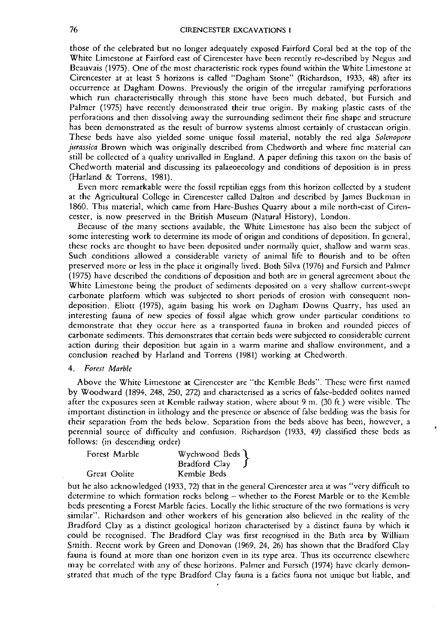those of the celebrated but no longer adequately exposed Fairford Coral bed at the top of the White Limestone at Fairford east of Cirencester have been recently re-described by Negus and Beauvais (1975). One of the most characteristic rock types found within the White Limestone at Cirencester at at least 5 horizons is called "Dagham Stone" (Richardson, 1933, 48) after its occurrence at Dagham Downs. Previously the origin of the irregular ramifying perforations which run characteristically through this stone have been much debated, but Fursich and Palmer (1975) have recently demonstrated their true origin. By making plastic casts of the perforations and then dissolving away the surrounding sediment their fine shape and structure has been demonstrated as the result of burrow systems almost certainly of crustacean origin. These beds have also yielded some unique fossil material, notably the red alga *Solcnopora jurassica* Brown which was originally described from Chedworth and where fine material can still be collected of a quality unrivalled in England. A paper defining this taxon on the basis of Chedworth material and discussing its palaeoecology and conditions of deposition is in press (Harland & Torrens, 1981).

Even more remarkable were the fossil reptilian eggs from this horizon collected by a student at the Agricultural College in Cirencestcr called Dalton and described by James Buckman in 1860. This material, which came from Hare-Bushes Quarry about a mile north-east of Circncester, is now preserved in the British Museum (Natural History), London.

Because of the many sections available, the White Limestone has also been the subject of some interesting work to determine its mode of origin and conditions of deposition. **In** general, these rocks are thought to have been deposited under normally quiet, shallow and warm seas. Such conditions allowed a considerable variety of animal life to flourish and to be often preserved more or less in the place it originally lived. Both Silva (1976) and Fursich and Palmer (1975) have described the conditions of deposition and both are in general agreement about the White Limestone being the product of sediments deposited on a very shallow current-swept carbonate platform which was subjected to short periods of erosion with consequent nondeposition. Eliott (1975), again basing his work on Dagham Downs Quarry, has used an interesting fauna of new species of fossil algae which grow under particular conditions to demonstrate that they occur here as a transported fauna in broken and rounded pieces of carbonate sediments. This demonstrates that certain beds were subjected to considerable current action during their deposition but again in a warm marine and shallow environment, and a conclusion reached by Harland and Torrens (1981) working at Chedworth.

#### *4. Forest Marble*

Above the White Limestone at Circnccster are "the Kemble Beds". These were first named by Woodward (1894, 248, 250, 272) and characterised as a series of false-bedded oolites named after the exposures seen at Kemble railway station, where about 9 m. (30 ft.) were visible. The important distinction in lithology and the presence or absence of false bedding was the basis for their separation from the beds below. Separation from the beds above has been, however, a perennial source of difficulty and confusion. Richardson (1933, 49) classified these beds as follows: (in descending order)

| Forest Marble | Wychwood Beds 1 |
|---------------|-----------------|
|               | Bradford Clay   |
| Great Oolite  | Kemble Beds     |

but he also acknowledged (1933, 72) that in the general Cirencester area it was "very difficult to determine to which formation rocks belong - whether to the Forest Marble or to the Kemble beds presenting a Forest Marble facies. Locally the lithic structure of the two formations is very similar". Richardson and other workers of his generation also believed in the reality of the Bradford Clay as a distinct geological horizon characterised by a distinct fauna by which it could be recognised. The Bradford Clay was first recognised in the Bath area by William Smith. Recent work by Green and Donovan (1969, 24, 26) has shown that the Bradford Clay fauna is found at more than one horizon even in its type area. Thus its occurrence elsewhere may be correlated with any of these horizons. Palmer and Fursich (1974) have clearly demonstrated that much of the type Bradford Clay fauna is a facies fauna not unique but liable, and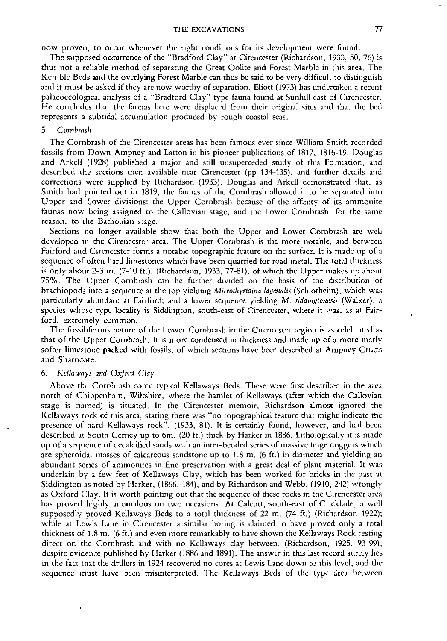#### THE EXCAVATIONS 77

now proven, to occur whenever the right conditions for its development were found.

The supposed occurrence of the "Bradford Clay" at Circncester (Richardson, 1933, 50, 76) is thus not a reliable method of separating the Great Oolite and Forest Marble in this area. The Kemble Beds and the overlying Forest Marble can thus be said to be very difficult to distinguish and it must be asked if they are now worthy of separation. Eliott (1973) has undertaken a recent palaeoecological analysis of a "Bradford Clay" type fauna found at Sunhill east of Circnccstcr. He concludes that the faunas here were displaced from their original sites and that the bed represents a subtidal accumulation produced by rough coastal seas.

#### *5. Combrasll*

The Cornbrash of the Cirencester areas has been famous ever since William Smith recorded fossils from Down Ampney and Latton in his pioneer publications of 1817, 1816-19. Douglas and Arkell (1928) published a major and still unsuperceded study of this Formation, and described the sections then available near Cirenccster (pp 134-135), and further details and corrections were supplied by Richardson (1933). Douglas and Arkell demonstrated that, as Smith had pointed out in 1819, the faunas of the Combrash allowed it to be separated into Upper and Lower divisions: the Upper Cornbrash because of the affinity of its ammonite faunas now being assigned to the Callovian stage, and the Lower Cornbrash, for the same reason, to the Bathonian stage.

Sections no longer available show that both the Upper and Lower Cornbrash are well developed in the Cirencester area. The Upper Cornbrash is the more notable, and between Fairford and Cirencester forms a notable topographic feature on the surface. It is made up of a sequence of often hard limestones which have been quarried for road metal. The total thickness is only about 2-3 m. (7-10 ft.), (Richardson, 1933, 77-81), of which the Upper makes up about 75%. The Upper Combrash can be further divided on the basis of the distribution of brachiopods into a sequence at the top yielding *Microthyridina fagenalis* (Schlotheim), which was particularly abundant at Fairford; and a lower sequence yielding M. *siddingtonesis* (Walker), a species whose type locality is Siddington, south-east of Cirenccster, where it was, as at Fairford, extremely common.

The fossiliferous nature of the Lower Combrash in the Cirencester region is as celebrated as that of the Upper Cornbrash. It is more condensed in thickness and made up of a more marly softer limestone packed with fossils, of which sections have been described at Ampney Crucis and Sharncote.

## *6. Kellaurays and Oxford Clay*

Above the Combrash come typical Kellaways Beds. These were first described in the area north of Chippcnharn, Wiltshire, where the hamlet of Kellaways (after which the Callovian stage is named) is situated. In the Cirencester memoir, Richardson almost ignored the Kellaways rock of this area, stating there was "no topographical feature that might indicate the presence of hard Kellaways rock", (1933, 81). It is certainly found, however, and had been described at South Cerney up to 6m. (20 ft.) thick by Harker in 1886. Lithologically it is made up of a sequence of decalcified sands with an inter-bedded series of massive huge doggers which are spheroidal masses of calcareous sandstone up to 1.8 m. (6 ft.) in diameter and yielding an abundant series of ammonites in fine preservation with a great deal of plant material. It was underlain by a few feet of Kellaways Clay, which has been worked for bricks in the past at Siddington as noted by Harker, (1866, 184), and by Richardson and Webb, (1910, 242) wrongly as Oxford Clay. It is worth pointing out that the sequence of these rocks in the Circncester area has proved highly anomalous on two occasions. At Calcutt, south-east of Cricklade, a well supposedly proved Kellaways Beds to a total thickness of 22 m. (74 ft.) (Richardson 1922); while at Lewis Lane in Circncester a. similar boring is claimed to have proved only a total thickness of 1.8 m. (6 ft.) and even more remarkably to have shown the Kellaways Rock resting direct on the Combrash and with no Kellaways clay between, (Richardson, 1925, 93-99), despite evidence published by Harker (1886 and 1891). The answer in this last record surely lies in the fact that the drillers in 1924 recovered no cores at Lewis Lane down to this level, and the sequence must have been misinterpreted. The Kellaways Beds of the type area between